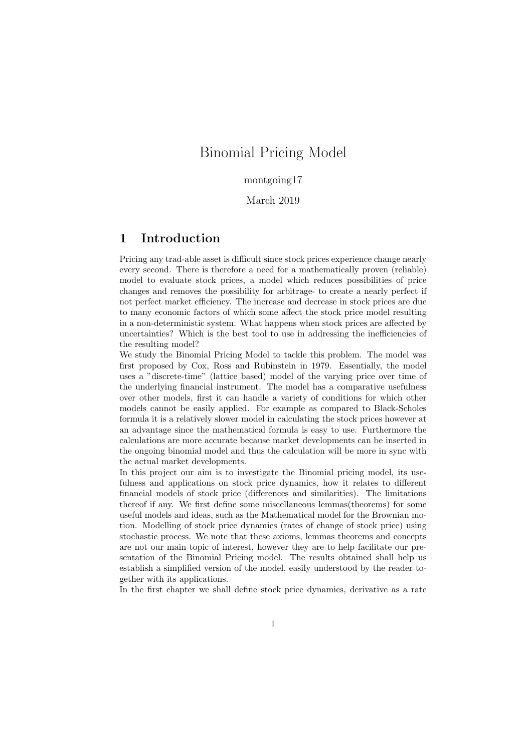## Binomial Pricing Model

montgoing17

March 2019

## 1 Introduction

Pricing any trad-able asset is difficult since stock prices experience change nearly every second. There is therefore a need for a mathematically proven (reliable) model to evaluate stock prices, a model which reduces possibilities of price changes and removes the possibility for arbitrage- to create a nearly perfect if not perfect market efficiency. The increase and decrease in stock prices are due to many economic factors of which some affect the stock price model resulting in a non-deterministic system. What happens when stock prices are affected by uncertainties? Which is the best tool to use in addressing the inefficiencies of the resulting model?

We study the Binomial Pricing Model to tackle this problem. The model was first proposed by Cox, Ross and Rubinstein in 1979. Essentially, the model uses a "discrete-time" (lattice based) model of the varying price over time of the underlying financial instrument. The model has a comparative usefulness over other models, first it can handle a variety of conditions for which other models cannot be easily applied. For example as compared to Black-Scholes formula it is a relatively slower model in calculating the stock prices however at an advantage since the mathematical formula is easy to use. Furthermore the calculations are more accurate because market developments can be inserted in the ongoing binomial model and thus the calculation will be more in sync with the actual market developments.

In this project our aim is to investigate the Binomial pricing model, its usefulness and applications on stock price dynamics, how it relates to different financial models of stock price (differences and similarities). The limitations thereof if any. We first define some miscellaneous lemmas(theorems) for some useful models and ideas, such as the Mathematical model for the Brownian motion. Modelling of stock price dynamics (rates of change of stock price) using stochastic process. We note that these axioms, lemmas theorems and concepts are not our main topic of interest, however they are to help facilitate our presentation of the Binomial Pricing model. The results obtained shall help us establish a simplified version of the model, easily understood by the reader together with its applications.

In the first chapter we shall define stock price dynamics, derivative as a rate